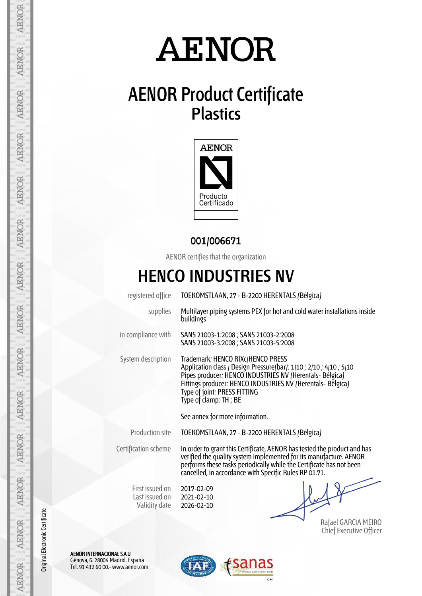# **AENOR**

### **AENOR Product Certificate Plastics**



#### **001/006671**

AENOR certifies that the organization

### **HENCO INDUSTRIES NV**

| registered office                                  | TOEKOMSTLAAN, 27 - B-2200 HERENTALS (Bélgica)                                                                                                                                                                                                                                                |  |  |  |
|----------------------------------------------------|----------------------------------------------------------------------------------------------------------------------------------------------------------------------------------------------------------------------------------------------------------------------------------------------|--|--|--|
| supplies                                           | Multilayer piping systems PEX for hot and cold water installations inside<br>buildings                                                                                                                                                                                                       |  |  |  |
| in compliance with                                 | SANS 21003-1:2008 ; SANS 21003-2:2008<br>SANS 21003-3:2008 ; SANS 21003-5:2008                                                                                                                                                                                                               |  |  |  |
| System description                                 | Trademark: HENCO RIXc/HENCO PRESS<br>Application class / Design Pressure(bar): 1/10 ; 2/10 ; 4/10 ; 5/10<br>Pipes producer: HENCO INDUSTRIES NV (Herentals- Bélgica)<br>Fittings producer: HENCO INDUSTRIES NV (Herentals-Bélgica)<br>Type of joint: PRESS FITTING<br>Type of clamp: TH ; BE |  |  |  |
|                                                    | See annex for more information.                                                                                                                                                                                                                                                              |  |  |  |
| <b>Production site</b>                             | TOEKOMSTLAAN, 27 - B-2200 HERENTALS (Bélgica)                                                                                                                                                                                                                                                |  |  |  |
| Certification scheme                               | In order to grant this Certificate, AENOR has tested the product and has<br>verified the quality system implemented for its manufacture. AENOR<br>performs these tasks periodically while the Certificate has not been<br>cancelled, in accordance with Specific Rules RP 01.71.             |  |  |  |
| First issued on<br>Last issued on<br>Validity date | 2017-02-09<br>2021-02-10<br>2026-02-10                                                                                                                                                                                                                                                       |  |  |  |

Rafael GARCÍA MEIRO Chief Executive Officer

AENOR INTERNACIONAL S.A.U. Génova, 6. 28004 Madrid. España Tel. 91 432 60 00.- www.aenor.com



AENOR AENOR

AENOR

**AENOR** 

**AENOR** 

**AENOR** 

AENOR

AENOR

AENOR

**AENOR** 

AENOR

**AENOR** 

**AENOR** 

**AENOR** 

Original Electronic Certificate

Original Electronic Certificate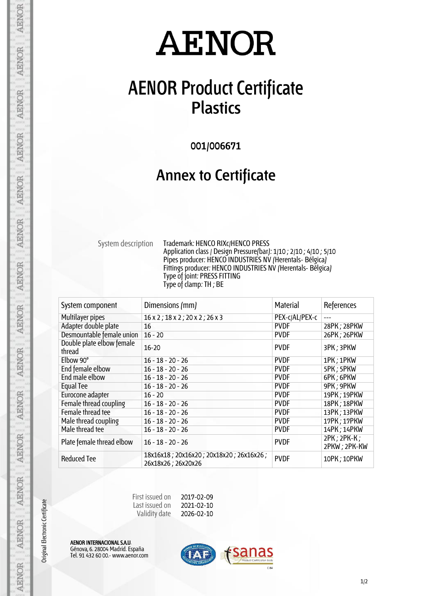# **AENOR**

### **AENOR Product Certificate Plastics**

**001/006671**

#### **Annex to Certificate**

System description Trademark: HENCO RIXc/HENCO PRESS Application class / Design Pressure(bar): 1/10 ; 2/10 ; 4/10 ; 5/10 Pipes producer: HENCO INDUSTRIES NV (Herentals- Bélgica) Fittings producer: HENCO INDUSTRIES NV (Herentals- Bélgica) Type of joint: PRESS FITTING Type of clamp: TH ; BE

| System component                    | Dimensions (mm)                                               | <b>Material</b> | References                  |
|-------------------------------------|---------------------------------------------------------------|-----------------|-----------------------------|
| Multilayer pipes                    | $16 \times 2$ ; $18 \times 2$ ; $20 \times 2$ ; $26 \times 3$ | PEX-c/AL/PEX-c  |                             |
| Adapter double plate                | 16                                                            | <b>PVDF</b>     | 28PK; 28PKW                 |
| Desmountable female union           | $16 - 20$                                                     | <b>PVDF</b>     | 26PK; 26PKW                 |
| Double plate elbow female<br>thread | $16 - 20$                                                     | <b>PVDF</b>     | 3PK; 3PKW                   |
| Elbow 90°                           | $16 - 18 - 20 - 26$                                           | <b>PVDF</b>     | 1PK; 1PKW                   |
| End female elbow                    | $16 - 18 - 20 - 26$                                           | <b>PVDF</b>     | 5PK; 5PKW                   |
| End male elbow                      | $16 - 18 - 20 - 26$                                           | <b>PVDF</b>     | 6PK; 6PKW                   |
| Equal Tee                           | $16 - 18 - 20 - 26$                                           | <b>PVDF</b>     | 9PK; 9PKW                   |
| Eurocone adapter                    | $16 - 20$                                                     | <b>PVDF</b>     | 19PK; 19PKW                 |
| Female thread coupling              | $16 - 18 - 20 - 26$                                           | <b>PVDF</b>     | 18PK; 18PKW                 |
| Female thread tee                   | $16 - 18 - 20 - 26$                                           | <b>PVDF</b>     | 13PK; 13PKW                 |
| Male thread coupling                | $16 - 18 - 20 - 26$                                           | <b>PVDF</b>     | 17PK; 17PKW                 |
| Male thread tee                     | $16 - 18 - 20 - 26$                                           | <b>PVDF</b>     | 14PK; 14PKW                 |
| Plate female thread elbow           | $16 - 18 - 20 - 26$                                           | <b>PVDF</b>     | 2PK; 2PK-K;<br>2PKW; 2PK-KW |
| <b>Reduced Tee</b>                  | 18x16x18; 20x16x20; 20x18x20; 26x16x26;<br>26x18x26; 26x20x26 | <b>PVDF</b>     | 10PK; 10PKW                 |

| First issued on | 2017-02-09 |
|-----------------|------------|
| Last issued on  | 2021-02-10 |
| Validity date   | 2026-02-10 |

AENOR INTERNACIONAL S.A.U. Génova, 6. 28004 Madrid. España Tel. 91 432 60 00.- www.aenor.com

Original Electronic Certificate

**AENOR** 

**AENOR** 

**AENOR** 

**AENOR** 

**AENOR** 

**AENOR** 

**AENOR** 

**AENOR** 

**AENOR** 

AENOR

**AENOR** 

**AENOR** 

**AENOR** 

**AENOR**